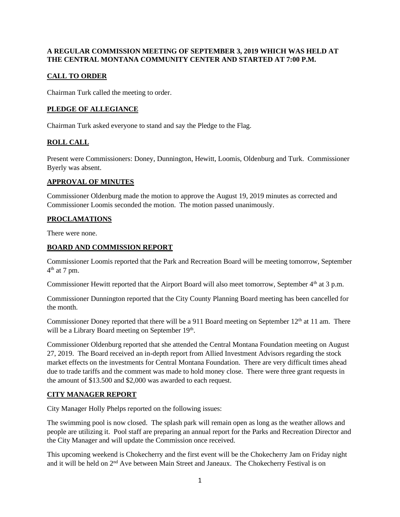#### **A REGULAR COMMISSION MEETING OF SEPTEMBER 3, 2019 WHICH WAS HELD AT THE CENTRAL MONTANA COMMUNITY CENTER AND STARTED AT 7:00 P.M.**

# **CALL TO ORDER**

Chairman Turk called the meeting to order.

## **PLEDGE OF ALLEGIANCE**

Chairman Turk asked everyone to stand and say the Pledge to the Flag.

# **ROLL CALL**

Present were Commissioners: Doney, Dunnington, Hewitt, Loomis, Oldenburg and Turk. Commissioner Byerly was absent.

#### **APPROVAL OF MINUTES**

Commissioner Oldenburg made the motion to approve the August 19, 2019 minutes as corrected and Commissioner Loomis seconded the motion. The motion passed unanimously.

### **PROCLAMATIONS**

There were none.

### **BOARD AND COMMISSION REPORT**

Commissioner Loomis reported that the Park and Recreation Board will be meeting tomorrow, September  $4<sup>th</sup>$  at 7 pm.

Commissioner Hewitt reported that the Airport Board will also meet tomorrow, September 4<sup>th</sup> at 3 p.m.

Commissioner Dunnington reported that the City County Planning Board meeting has been cancelled for the month.

Commissioner Doney reported that there will be a 911 Board meeting on September 12<sup>th</sup> at 11 am. There will be a Library Board meeting on September 19<sup>th</sup>.

Commissioner Oldenburg reported that she attended the Central Montana Foundation meeting on August 27, 2019. The Board received an in-depth report from Allied Investment Advisors regarding the stock market effects on the investments for Central Montana Foundation. There are very difficult times ahead due to trade tariffs and the comment was made to hold money close. There were three grant requests in the amount of \$13.500 and \$2,000 was awarded to each request.

### **CITY MANAGER REPORT**

City Manager Holly Phelps reported on the following issues:

The swimming pool is now closed. The splash park will remain open as long as the weather allows and people are utilizing it. Pool staff are preparing an annual report for the Parks and Recreation Director and the City Manager and will update the Commission once received.

This upcoming weekend is Chokecherry and the first event will be the Chokecherry Jam on Friday night and it will be held on 2<sup>nd</sup> Ave between Main Street and Janeaux. The Chokecherry Festival is on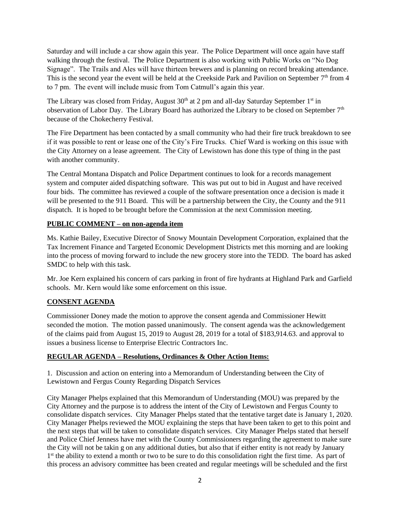Saturday and will include a car show again this year. The Police Department will once again have staff walking through the festival. The Police Department is also working with Public Works on "No Dog Signage". The Trails and Ales will have thirteen brewers and is planning on record breaking attendance. This is the second year the event will be held at the Creekside Park and Pavilion on September 7<sup>th</sup> from 4 to 7 pm. The event will include music from Tom Catmull's again this year.

The Library was closed from Friday, August  $30<sup>th</sup>$  at 2 pm and all-day Saturday September 1<sup>st</sup> in observation of Labor Day. The Library Board has authorized the Library to be closed on September 7<sup>th</sup> because of the Chokecherry Festival.

The Fire Department has been contacted by a small community who had their fire truck breakdown to see if it was possible to rent or lease one of the City's Fire Trucks. Chief Ward is working on this issue with the City Attorney on a lease agreement. The City of Lewistown has done this type of thing in the past with another community.

The Central Montana Dispatch and Police Department continues to look for a records management system and computer aided dispatching software. This was put out to bid in August and have received four bids. The committee has reviewed a couple of the software presentation once a decision is made it will be presented to the 911 Board. This will be a partnership between the City, the County and the 911 dispatch. It is hoped to be brought before the Commission at the next Commission meeting.

### **PUBLIC COMMENT – on non-agenda item**

Ms. Kathie Bailey, Executive Director of Snowy Mountain Development Corporation, explained that the Tax Increment Finance and Targeted Economic Development Districts met this morning and are looking into the process of moving forward to include the new grocery store into the TEDD. The board has asked SMDC to help with this task.

Mr. Joe Kern explained his concern of cars parking in front of fire hydrants at Highland Park and Garfield schools. Mr. Kern would like some enforcement on this issue.

### **CONSENT AGENDA**

Commissioner Doney made the motion to approve the consent agenda and Commissioner Hewitt seconded the motion. The motion passed unanimously. The consent agenda was the acknowledgement of the claims paid from August 15, 2019 to August 28, 2019 for a total of \$183,914.63. and approval to issues a business license to Enterprise Electric Contractors Inc.

### **REGULAR AGENDA – Resolutions, Ordinances & Other Action Items:**

1. Discussion and action on entering into a Memorandum of Understanding between the City of Lewistown and Fergus County Regarding Dispatch Services

City Manager Phelps explained that this Memorandum of Understanding (MOU) was prepared by the City Attorney and the purpose is to address the intent of the City of Lewistown and Fergus County to consolidate dispatch services. City Manager Phelps stated that the tentative target date is January 1, 2020. City Manager Phelps reviewed the MOU explaining the steps that have been taken to get to this point and the next steps that will be taken to consolidate dispatch services. City Manager Phelps stated that herself and Police Chief Jenness have met with the County Commissioners regarding the agreement to make sure the City will not be takin g on any additional duties, but also that if either entity is not ready by January 1<sup>st</sup> the ability to extend a month or two to be sure to do this consolidation right the first time. As part of this process an advisory committee has been created and regular meetings will be scheduled and the first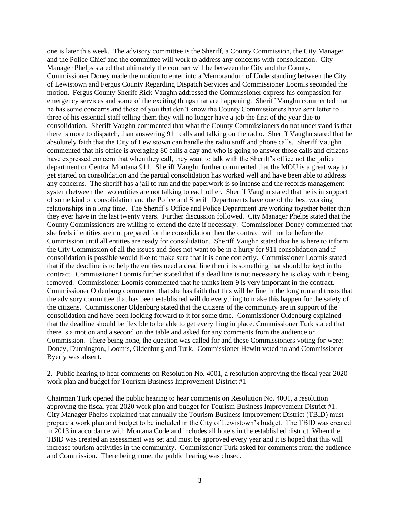one is later this week. The advisory committee is the Sheriff, a County Commission, the City Manager and the Police Chief and the committee will work to address any concerns with consolidation. City Manager Phelps stated that ultimately the contract will be between the City and the County. Commissioner Doney made the motion to enter into a Memorandum of Understanding between the City of Lewistown and Fergus County Regarding Dispatch Services and Commissioner Loomis seconded the motion. Fergus County Sheriff Rick Vaughn addressed the Commissioner express his compassion for emergency services and some of the exciting things that are happening. Sheriff Vaughn commented that he has some concerns and those of you that don't know the County Commissioners have sent letter to three of his essential staff telling them they will no longer have a job the first of the year due to consolidation. Sheriff Vaughn commented that what the County Commissioners do not understand is that there is more to dispatch, than answering 911 calls and talking on the radio. Sheriff Vaughn stated that he absolutely faith that the City of Lewistown can handle the radio stuff and phone calls. Sheriff Vaughn commented that his office is averaging 80 calls a day and who is going to answer those calls and citizens have expressed concern that when they call, they want to talk with the Sheriff's office not the police department or Central Montana 911. Sheriff Vaughn further commented that the MOU is a great way to get started on consolidation and the partial consolidation has worked well and have been able to address any concerns. The sheriff has a jail to run and the paperwork is so intense and the records management system between the two entities are not talking to each other. Sheriff Vaughn stated that he is in support of some kind of consolidation and the Police and Sheriff Departments have one of the best working relationships in a long time. The Sheriff's Office and Police Department are working together better than they ever have in the last twenty years. Further discussion followed. City Manager Phelps stated that the County Commissioners are willing to extend the date if necessary. Commissioner Doney commented that she feels if entities are not prepared for the consolidation then the contract will not be before the Commission until all entities are ready for consolidation. Sheriff Vaughn stated that he is here to inform the City Commission of all the issues and does not want to be in a hurry for 911 consolidation and if consolidation is possible would like to make sure that it is done correctly. Commissioner Loomis stated that if the deadline is to help the entities need a dead line then it is something that should be kept in the contract. Commissioner Loomis further stated that if a dead line is not necessary he is okay with it being removed. Commissioner Loomis commented that he thinks item 9 is very important in the contract. Commissioner Oldenburg commented that she has faith that this will be fine in the long run and trusts that the advisory committee that has been established will do everything to make this happen for the safety of the citizens. Commissioner Oldenburg stated that the citizens of the community are in support of the consolidation and have been looking forward to it for some time. Commissioner Oldenburg explained that the deadline should be flexible to be able to get everything in place. Commissioner Turk stated that there is a motion and a second on the table and asked for any comments from the audience or Commission. There being none, the question was called for and those Commissioners voting for were: Doney, Dunnington, Loomis, Oldenburg and Turk. Commissioner Hewitt voted no and Commissioner Byerly was absent.

2. Public hearing to hear comments on Resolution No. 4001, a resolution approving the fiscal year 2020 work plan and budget for Tourism Business Improvement District #1

Chairman Turk opened the public hearing to hear comments on Resolution No. 4001, a resolution approving the fiscal year 2020 work plan and budget for Tourism Business Improvement District #1. City Manager Phelps explained that annually the Tourism Business Improvement District (TBID) must prepare a work plan and budget to be included in the City of Lewistown's budget. The TBID was created in 2013 in accordance with Montana Code and includes all hotels in the established district. When the TBID was created an assessment was set and must be approved every year and it is hoped that this will increase tourism activities in the community. Commissioner Turk asked for comments from the audience and Commission. There being none, the public hearing was closed.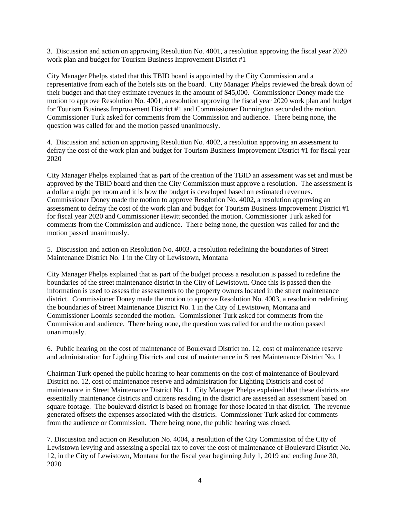3. Discussion and action on approving Resolution No. 4001, a resolution approving the fiscal year 2020 work plan and budget for Tourism Business Improvement District #1

City Manager Phelps stated that this TBID board is appointed by the City Commission and a representative from each of the hotels sits on the board. City Manager Phelps reviewed the break down of their budget and that they estimate revenues in the amount of \$45,000. Commissioner Doney made the motion to approve Resolution No. 4001, a resolution approving the fiscal year 2020 work plan and budget for Tourism Business Improvement District #1 and Commissioner Dunnington seconded the motion. Commissioner Turk asked for comments from the Commission and audience. There being none, the question was called for and the motion passed unanimously.

4. Discussion and action on approving Resolution No. 4002, a resolution approving an assessment to defray the cost of the work plan and budget for Tourism Business Improvement District #1 for fiscal year 2020

City Manager Phelps explained that as part of the creation of the TBID an assessment was set and must be approved by the TBID board and then the City Commission must approve a resolution. The assessment is a dollar a night per room and it is how the budget is developed based on estimated revenues. Commissioner Doney made the motion to approve Resolution No. 4002, a resolution approving an assessment to defray the cost of the work plan and budget for Tourism Business Improvement District #1 for fiscal year 2020 and Commissioner Hewitt seconded the motion. Commissioner Turk asked for comments from the Commission and audience. There being none, the question was called for and the motion passed unanimously.

5. Discussion and action on Resolution No. 4003, a resolution redefining the boundaries of Street Maintenance District No. 1 in the City of Lewistown, Montana

City Manager Phelps explained that as part of the budget process a resolution is passed to redefine the boundaries of the street maintenance district in the City of Lewistown. Once this is passed then the information is used to assess the assessments to the property owners located in the street maintenance district. Commissioner Doney made the motion to approve Resolution No. 4003, a resolution redefining the boundaries of Street Maintenance District No. 1 in the City of Lewistown, Montana and Commissioner Loomis seconded the motion. Commissioner Turk asked for comments from the Commission and audience. There being none, the question was called for and the motion passed unanimously.

6. Public hearing on the cost of maintenance of Boulevard District no. 12, cost of maintenance reserve and administration for Lighting Districts and cost of maintenance in Street Maintenance District No. 1

Chairman Turk opened the public hearing to hear comments on the cost of maintenance of Boulevard District no. 12, cost of maintenance reserve and administration for Lighting Districts and cost of maintenance in Street Maintenance District No. 1. City Manager Phelps explained that these districts are essentially maintenance districts and citizens residing in the district are assessed an assessment based on square footage. The boulevard district is based on frontage for those located in that district. The revenue generated offsets the expenses associated with the districts. Commissioner Turk asked for comments from the audience or Commission. There being none, the public hearing was closed.

7. Discussion and action on Resolution No. 4004, a resolution of the City Commission of the City of Lewistown levying and assessing a special tax to cover the cost of maintenance of Boulevard District No. 12, in the City of Lewistown, Montana for the fiscal year beginning July 1, 2019 and ending June 30, 2020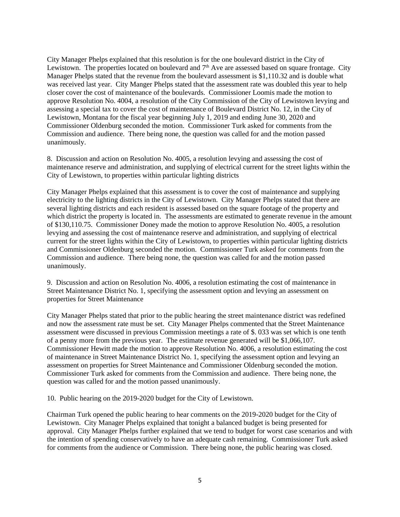City Manager Phelps explained that this resolution is for the one boulevard district in the City of Lewistown. The properties located on boulevard and  $7<sup>th</sup>$  Ave are assessed based on square frontage. City Manager Phelps stated that the revenue from the boulevard assessment is \$1,110.32 and is double what was received last year. City Manger Phelps stated that the assessment rate was doubled this year to help closer cover the cost of maintenance of the boulevards. Commissioner Loomis made the motion to approve Resolution No. 4004, a resolution of the City Commission of the City of Lewistown levying and assessing a special tax to cover the cost of maintenance of Boulevard District No. 12, in the City of Lewistown, Montana for the fiscal year beginning July 1, 2019 and ending June 30, 2020 and Commissioner Oldenburg seconded the motion. Commissioner Turk asked for comments from the Commission and audience. There being none, the question was called for and the motion passed unanimously.

8. Discussion and action on Resolution No. 4005, a resolution levying and assessing the cost of maintenance reserve and administration, and supplying of electrical current for the street lights within the City of Lewistown, to properties within particular lighting districts

City Manager Phelps explained that this assessment is to cover the cost of maintenance and supplying electricity to the lighting districts in the City of Lewistown. City Manager Phelps stated that there are several lighting districts and each resident is assessed based on the square footage of the property and which district the property is located in. The assessments are estimated to generate revenue in the amount of \$130,110.75. Commissioner Doney made the motion to approve Resolution No. 4005, a resolution levying and assessing the cost of maintenance reserve and administration, and supplying of electrical current for the street lights within the City of Lewistown, to properties within particular lighting districts and Commissioner Oldenburg seconded the motion. Commissioner Turk asked for comments from the Commission and audience. There being none, the question was called for and the motion passed unanimously.

9. Discussion and action on Resolution No. 4006, a resolution estimating the cost of maintenance in Street Maintenance District No. 1, specifying the assessment option and levying an assessment on properties for Street Maintenance

City Manager Phelps stated that prior to the public hearing the street maintenance district was redefined and now the assessment rate must be set. City Manager Phelps commented that the Street Maintenance assessment were discussed in previous Commission meetings a rate of \$. 033 was set which is one tenth of a penny more from the previous year. The estimate revenue generated will be \$1,066,107. Commissioner Hewitt made the motion to approve Resolution No. 4006, a resolution estimating the cost of maintenance in Street Maintenance District No. 1, specifying the assessment option and levying an assessment on properties for Street Maintenance and Commissioner Oldenburg seconded the motion. Commissioner Turk asked for comments from the Commission and audience. There being none, the question was called for and the motion passed unanimously.

10. Public hearing on the 2019-2020 budget for the City of Lewistown.

Chairman Turk opened the public hearing to hear comments on the 2019-2020 budget for the City of Lewistown. City Manager Phelps explained that tonight a balanced budget is being presented for approval. City Manager Phelps further explained that we tend to budget for worst case scenarios and with the intention of spending conservatively to have an adequate cash remaining. Commissioner Turk asked for comments from the audience or Commission. There being none, the public hearing was closed.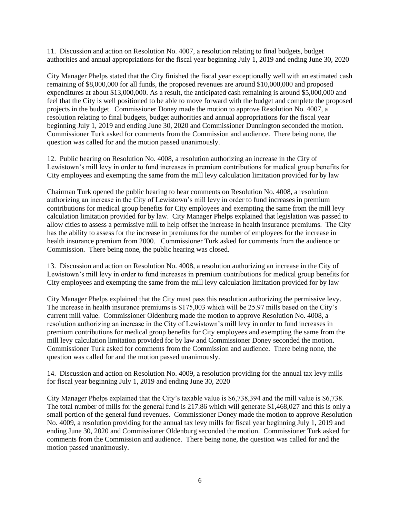11. Discussion and action on Resolution No. 4007, a resolution relating to final budgets, budget authorities and annual appropriations for the fiscal year beginning July 1, 2019 and ending June 30, 2020

City Manager Phelps stated that the City finished the fiscal year exceptionally well with an estimated cash remaining of \$8,000,000 for all funds, the proposed revenues are around \$10,000,000 and proposed expenditures at about \$13,000,000. As a result, the anticipated cash remaining is around \$5,000,000 and feel that the City is well positioned to be able to move forward with the budget and complete the proposed projects in the budget. Commissioner Doney made the motion to approve Resolution No. 4007, a resolution relating to final budgets, budget authorities and annual appropriations for the fiscal year beginning July 1, 2019 and ending June 30, 2020 and Commissioner Dunnington seconded the motion. Commissioner Turk asked for comments from the Commission and audience. There being none, the question was called for and the motion passed unanimously.

12. Public hearing on Resolution No. 4008, a resolution authorizing an increase in the City of Lewistown's mill levy in order to fund increases in premium contributions for medical group benefits for City employees and exempting the same from the mill levy calculation limitation provided for by law

Chairman Turk opened the public hearing to hear comments on Resolution No. 4008, a resolution authorizing an increase in the City of Lewistown's mill levy in order to fund increases in premium contributions for medical group benefits for City employees and exempting the same from the mill levy calculation limitation provided for by law. City Manager Phelps explained that legislation was passed to allow cities to assess a permissive mill to help offset the increase in health insurance premiums. The City has the ability to assess for the increase in premiums for the number of employees for the increase in health insurance premium from 2000. Commissioner Turk asked for comments from the audience or Commission. There being none, the public hearing was closed.

13. Discussion and action on Resolution No. 4008, a resolution authorizing an increase in the City of Lewistown's mill levy in order to fund increases in premium contributions for medical group benefits for City employees and exempting the same from the mill levy calculation limitation provided for by law

City Manager Phelps explained that the City must pass this resolution authorizing the permissive levy. The increase in health insurance premiums is \$175,003 which will be 25.97 mills based on the City's current mill value. Commissioner Oldenburg made the motion to approve Resolution No. 4008, a resolution authorizing an increase in the City of Lewistown's mill levy in order to fund increases in premium contributions for medical group benefits for City employees and exempting the same from the mill levy calculation limitation provided for by law and Commissioner Doney seconded the motion. Commissioner Turk asked for comments from the Commission and audience. There being none, the question was called for and the motion passed unanimously.

14. Discussion and action on Resolution No. 4009, a resolution providing for the annual tax levy mills for fiscal year beginning July 1, 2019 and ending June 30, 2020

City Manager Phelps explained that the City's taxable value is \$6,738,394 and the mill value is \$6,738. The total number of mills for the general fund is 217.86 which will generate \$1,468,027 and this is only a small portion of the general fund revenues. Commissioner Doney made the motion to approve Resolution No. 4009, a resolution providing for the annual tax levy mills for fiscal year beginning July 1, 2019 and ending June 30, 2020 and Commissioner Oldenburg seconded the motion. Commissioner Turk asked for comments from the Commission and audience. There being none, the question was called for and the motion passed unanimously.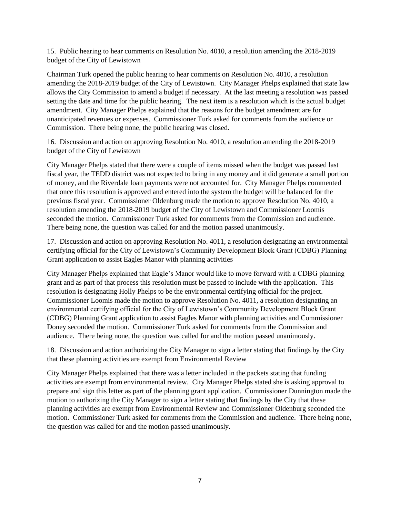15. Public hearing to hear comments on Resolution No. 4010, a resolution amending the 2018-2019 budget of the City of Lewistown

Chairman Turk opened the public hearing to hear comments on Resolution No. 4010, a resolution amending the 2018-2019 budget of the City of Lewistown. City Manager Phelps explained that state law allows the City Commission to amend a budget if necessary. At the last meeting a resolution was passed setting the date and time for the public hearing. The next item is a resolution which is the actual budget amendment. City Manager Phelps explained that the reasons for the budget amendment are for unanticipated revenues or expenses. Commissioner Turk asked for comments from the audience or Commission. There being none, the public hearing was closed.

16. Discussion and action on approving Resolution No. 4010, a resolution amending the 2018-2019 budget of the City of Lewistown

City Manager Phelps stated that there were a couple of items missed when the budget was passed last fiscal year, the TEDD district was not expected to bring in any money and it did generate a small portion of money, and the Riverdale loan payments were not accounted for. City Manager Phelps commented that once this resolution is approved and entered into the system the budget will be balanced for the previous fiscal year. Commissioner Oldenburg made the motion to approve Resolution No. 4010, a resolution amending the 2018-2019 budget of the City of Lewistown and Commissioner Loomis seconded the motion. Commissioner Turk asked for comments from the Commission and audience. There being none, the question was called for and the motion passed unanimously.

17. Discussion and action on approving Resolution No. 4011, a resolution designating an environmental certifying official for the City of Lewistown's Community Development Block Grant (CDBG) Planning Grant application to assist Eagles Manor with planning activities

City Manager Phelps explained that Eagle's Manor would like to move forward with a CDBG planning grant and as part of that process this resolution must be passed to include with the application. This resolution is designating Holly Phelps to be the environmental certifying official for the project. Commissioner Loomis made the motion to approve Resolution No. 4011, a resolution designating an environmental certifying official for the City of Lewistown's Community Development Block Grant (CDBG) Planning Grant application to assist Eagles Manor with planning activities and Commissioner Doney seconded the motion. Commissioner Turk asked for comments from the Commission and audience. There being none, the question was called for and the motion passed unanimously.

18. Discussion and action authorizing the City Manager to sign a letter stating that findings by the City that these planning activities are exempt from Environmental Review

City Manager Phelps explained that there was a letter included in the packets stating that funding activities are exempt from environmental review. City Manager Phelps stated she is asking approval to prepare and sign this letter as part of the planning grant application. Commissioner Dunnington made the motion to authorizing the City Manager to sign a letter stating that findings by the City that these planning activities are exempt from Environmental Review and Commissioner Oldenburg seconded the motion. Commissioner Turk asked for comments from the Commission and audience. There being none, the question was called for and the motion passed unanimously.